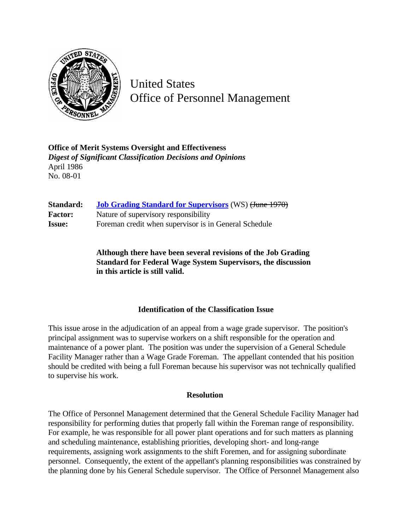

United States Office of Personnel Management

**Office of Merit Systems Oversight and Effectiveness** *Digest of Significant Classification Decisions and Opinions* April 1986 No. 08-01

| Standard:      | <b>Job Grading Standard for Supervisors (WS) (June 1970)</b> |
|----------------|--------------------------------------------------------------|
| <b>Factor:</b> | Nature of supervisory responsibility                         |
| <b>Issue:</b>  | Foreman credit when supervisor is in General Schedule        |

**Although there have been several revisions of the Job Grading Standard for Federal Wage System Supervisors, the discussion in this article is still valid.**

## **Identification of the Classification Issue**

This issue arose in the adjudication of an appeal from a wage grade supervisor. The position's principal assignment was to supervise workers on a shift responsible for the operation and maintenance of a power plant. The position was under the supervision of a General Schedule Facility Manager rather than a Wage Grade Foreman. The appellant contended that his position should be credited with being a full Foreman because his supervisor was not technically qualified to supervise his work.

## **Resolution**

The Office of Personnel Management determined that the General Schedule Facility Manager had responsibility for performing duties that properly fall within the Foreman range of responsibility. For example, he was responsible for all power plant operations and for such matters as planning and scheduling maintenance, establishing priorities, developing short- and long-range requirements, assigning work assignments to the shift Foremen, and for assigning subordinate personnel. Consequently, the extent of the appellant's planning responsibilities was constrained by the planning done by his General Schedule supervisor. The Office of Personnel Management also